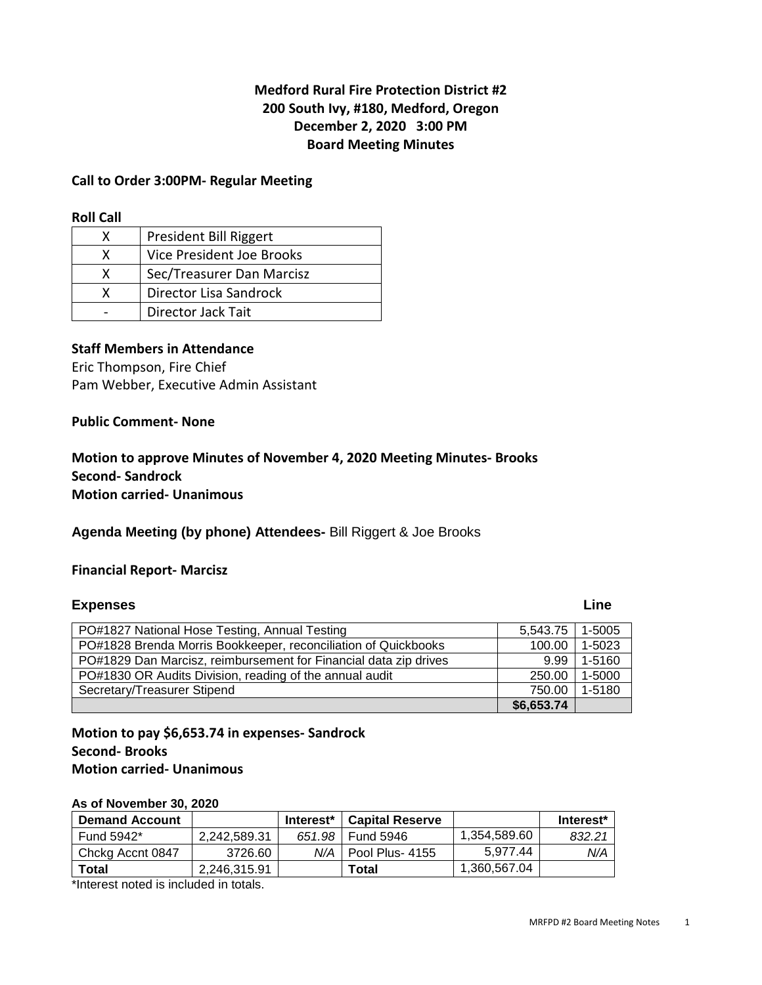# **Medford Rural Fire Protection District #2 200 South Ivy, #180, Medford, Oregon December 2, 2020 3:00 PM Board Meeting Minutes**

## **Call to Order 3:00PM- Regular Meeting**

#### **Roll Call**

|   | President Bill Riggert    |
|---|---------------------------|
| x | Vice President Joe Brooks |
| x | Sec/Treasurer Dan Marcisz |
|   | Director Lisa Sandrock    |
|   | Director Jack Tait        |

## **Staff Members in Attendance**

Eric Thompson, Fire Chief Pam Webber, Executive Admin Assistant

### **Public Comment- None**

# **Motion to approve Minutes of November 4, 2020 Meeting Minutes- Brooks Second- Sandrock Motion carried- Unanimous**

# **Agenda Meeting (by phone) Attendees-** Bill Riggert & Joe Brooks

### **Financial Report- Marcisz**

### **Expenses** Line

| PO#1827 National Hose Testing, Annual Testing                    | 5,543.75   | 1-5005 |
|------------------------------------------------------------------|------------|--------|
| PO#1828 Brenda Morris Bookkeeper, reconciliation of Quickbooks   | 100.00     | 1-5023 |
| PO#1829 Dan Marcisz, reimbursement for Financial data zip drives | 9.99       | 1-5160 |
| PO#1830 OR Audits Division, reading of the annual audit          | 250.00     | 1-5000 |
| Secretary/Treasurer Stipend                                      | 750.00     | 1-5180 |
|                                                                  | \$6,653.74 |        |

# **Motion to pay \$6,653.74 in expenses- Sandrock Second- Brooks Motion carried- Unanimous**

### **As of November 30, 2020**

| <b>Demand Account</b> |              | Interest* l | <b>Capital Reserve</b>  |              | Interest* |
|-----------------------|--------------|-------------|-------------------------|--------------|-----------|
| Fund 5942*            | 2.242.589.31 | 651.98      | Fund 5946               | 1.354.589.60 | 832.21    |
| Chckg Accnt 0847      | 3726.60      |             | $N/A$   Pool Plus- 4155 | 5.977.44     | N/A       |
| Total                 | 2.246.315.91 |             | Total                   | 1.360.567.04 |           |

\*Interest noted is included in totals.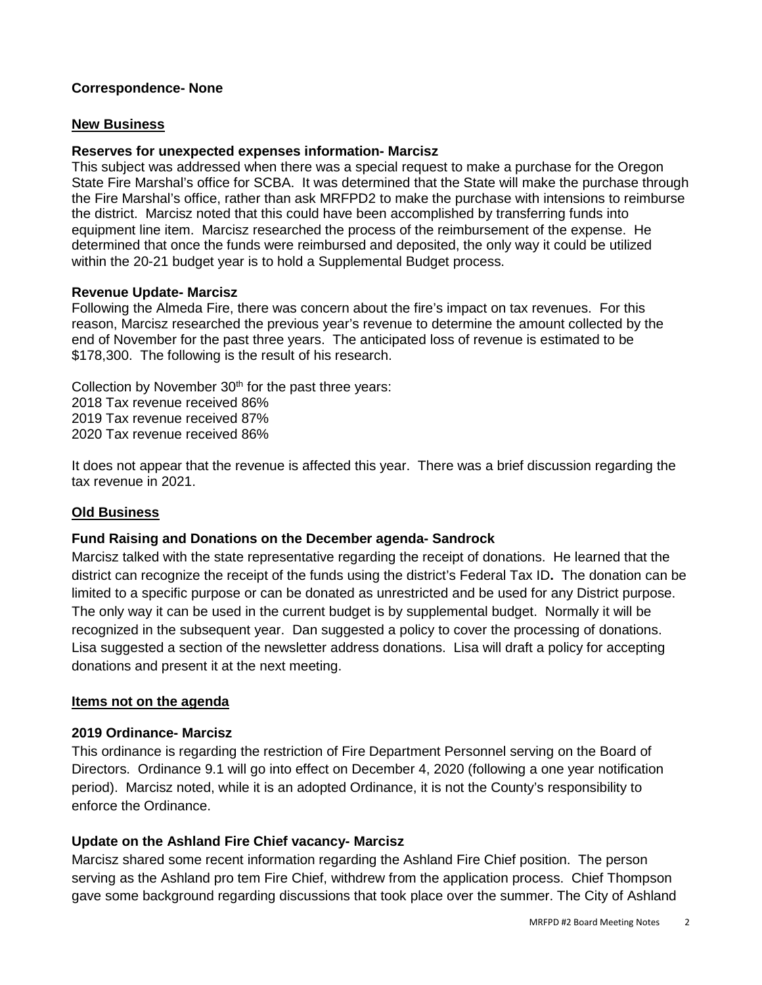# **Correspondence- None**

### **New Business**

## **Reserves for unexpected expenses information- Marcisz**

This subject was addressed when there was a special request to make a purchase for the Oregon State Fire Marshal's office for SCBA. It was determined that the State will make the purchase through the Fire Marshal's office, rather than ask MRFPD2 to make the purchase with intensions to reimburse the district. Marcisz noted that this could have been accomplished by transferring funds into equipment line item. Marcisz researched the process of the reimbursement of the expense. He determined that once the funds were reimbursed and deposited, the only way it could be utilized within the 20-21 budget year is to hold a Supplemental Budget process.

### **Revenue Update- Marcisz**

Following the Almeda Fire, there was concern about the fire's impact on tax revenues. For this reason, Marcisz researched the previous year's revenue to determine the amount collected by the end of November for the past three years. The anticipated loss of revenue is estimated to be \$178,300. The following is the result of his research.

Collection by November  $30<sup>th</sup>$  for the past three years: 2018 Tax revenue received 86% 2019 Tax revenue received 87% 2020 Tax revenue received 86%

It does not appear that the revenue is affected this year. There was a brief discussion regarding the tax revenue in 2021.

# **Old Business**

### **Fund Raising and Donations on the December agenda- Sandrock**

Marcisz talked with the state representative regarding the receipt of donations. He learned that the district can recognize the receipt of the funds using the district's Federal Tax ID**.** The donation can be limited to a specific purpose or can be donated as unrestricted and be used for any District purpose. The only way it can be used in the current budget is by supplemental budget. Normally it will be recognized in the subsequent year. Dan suggested a policy to cover the processing of donations. Lisa suggested a section of the newsletter address donations. Lisa will draft a policy for accepting donations and present it at the next meeting.

### **Items not on the agenda**

### **2019 Ordinance- Marcisz**

This ordinance is regarding the restriction of Fire Department Personnel serving on the Board of Directors. Ordinance 9.1 will go into effect on December 4, 2020 (following a one year notification period). Marcisz noted, while it is an adopted Ordinance, it is not the County's responsibility to enforce the Ordinance.

## **Update on the Ashland Fire Chief vacancy- Marcisz**

Marcisz shared some recent information regarding the Ashland Fire Chief position. The person serving as the Ashland pro tem Fire Chief, withdrew from the application process. Chief Thompson gave some background regarding discussions that took place over the summer. The City of Ashland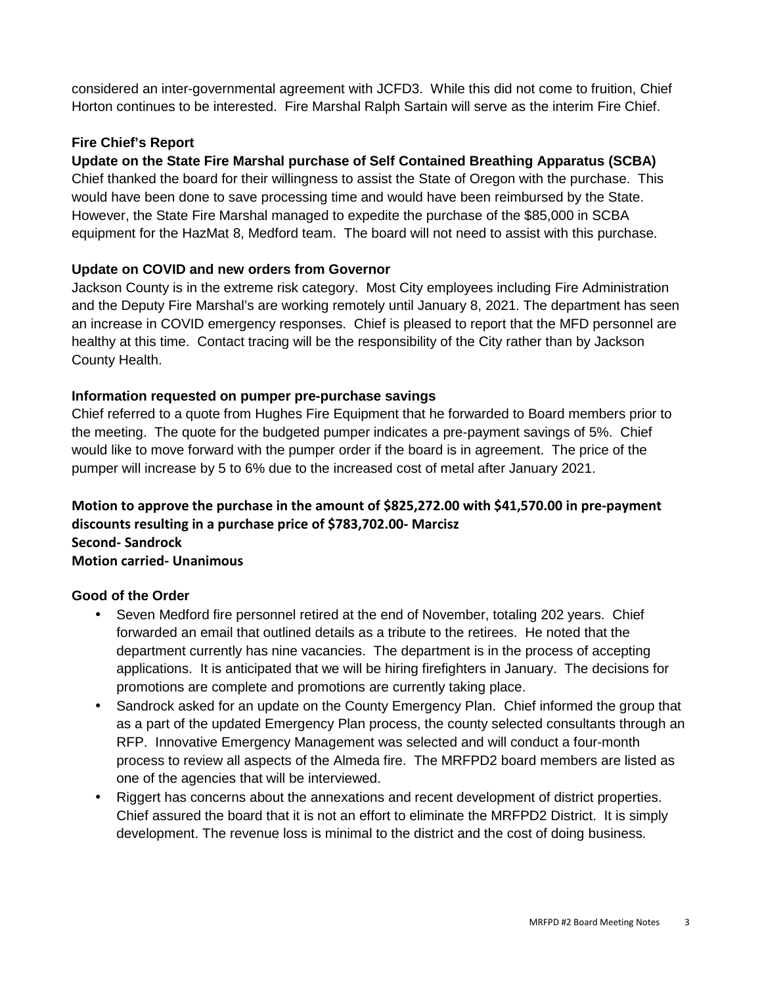considered an inter-governmental agreement with JCFD3. While this did not come to fruition, Chief Horton continues to be interested. Fire Marshal Ralph Sartain will serve as the interim Fire Chief.

# **Fire Chief's Report**

# **Update on the State Fire Marshal purchase of Self Contained Breathing Apparatus (SCBA)**

Chief thanked the board for their willingness to assist the State of Oregon with the purchase. This would have been done to save processing time and would have been reimbursed by the State. However, the State Fire Marshal managed to expedite the purchase of the \$85,000 in SCBA equipment for the HazMat 8, Medford team. The board will not need to assist with this purchase.

# **Update on COVID and new orders from Governor**

Jackson County is in the extreme risk category. Most City employees including Fire Administration and the Deputy Fire Marshal's are working remotely until January 8, 2021. The department has seen an increase in COVID emergency responses. Chief is pleased to report that the MFD personnel are healthy at this time. Contact tracing will be the responsibility of the City rather than by Jackson County Health.

# **Information requested on pumper pre-purchase savings**

Chief referred to a quote from Hughes Fire Equipment that he forwarded to Board members prior to the meeting. The quote for the budgeted pumper indicates a pre-payment savings of 5%. Chief would like to move forward with the pumper order if the board is in agreement. The price of the pumper will increase by 5 to 6% due to the increased cost of metal after January 2021.

# **Motion to approve the purchase in the amount of \$825,272.00 with \$41,570.00 in pre-payment discounts resulting in a purchase price of \$783,702.00- Marcisz Second- Sandrock**

# **Motion carried- Unanimous**

# **Good of the Order**

- Seven Medford fire personnel retired at the end of November, totaling 202 years. Chief forwarded an email that outlined details as a tribute to the retirees. He noted that the department currently has nine vacancies. The department is in the process of accepting applications. It is anticipated that we will be hiring firefighters in January. The decisions for promotions are complete and promotions are currently taking place.
- Sandrock asked for an update on the County Emergency Plan. Chief informed the group that as a part of the updated Emergency Plan process, the county selected consultants through an RFP. Innovative Emergency Management was selected and will conduct a four-month process to review all aspects of the Almeda fire. The MRFPD2 board members are listed as one of the agencies that will be interviewed.
- Riggert has concerns about the annexations and recent development of district properties. Chief assured the board that it is not an effort to eliminate the MRFPD2 District. It is simply development. The revenue loss is minimal to the district and the cost of doing business.